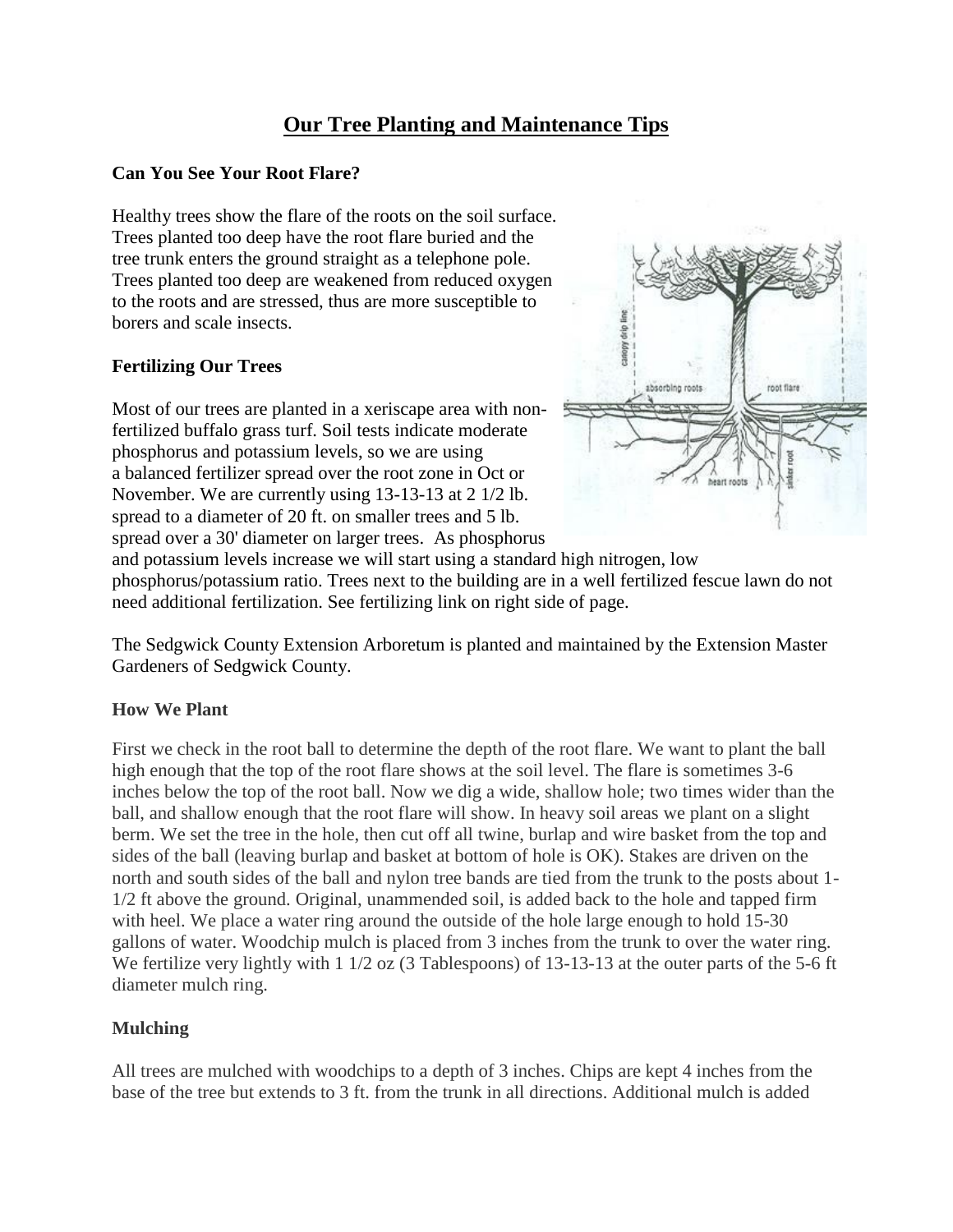# **Our Tree Planting and Maintenance Tips**

#### **Can You See Your Root Flare?**

Healthy trees show the flare of the roots on the soil surface. Trees planted too deep have the root flare buried and the tree trunk enters the ground straight as a telephone pole. Trees planted too deep are weakened from reduced oxygen to the roots and are stressed, thus are more susceptible to borers and scale insects.

#### **Fertilizing Our Trees**

Most of our trees are planted in a xeriscape area with nonfertilized buffalo grass turf. Soil tests indicate moderate phosphorus and potassium levels, so we are using a balanced fertilizer spread over the root zone in Oct or November. We are currently using 13-13-13 at 2 1/2 lb. spread to a diameter of 20 ft. on smaller trees and 5 lb. spread over a 30' diameter on larger trees. As phosphorus



and potassium levels increase we will start using a standard high nitrogen, low phosphorus/potassium ratio. Trees next to the building are in a well fertilized fescue lawn do not need additional fertilization. See fertilizing link on right side of page.

The Sedgwick County Extension Arboretum is planted and maintained by the Extension Master Gardeners of Sedgwick County.

## **How We Plant**

First we check in the root ball to determine the depth of the root flare. We want to plant the ball high enough that the top of the root flare shows at the soil level. The flare is sometimes 3-6 inches below the top of the root ball. Now we dig a wide, shallow hole; two times wider than the ball, and shallow enough that the root flare will show. In heavy soil areas we plant on a slight berm. We set the tree in the hole, then cut off all twine, burlap and wire basket from the top and sides of the ball (leaving burlap and basket at bottom of hole is OK). Stakes are driven on the north and south sides of the ball and nylon tree bands are tied from the trunk to the posts about 1- 1/2 ft above the ground. Original, unammended soil, is added back to the hole and tapped firm with heel. We place a water ring around the outside of the hole large enough to hold 15-30 gallons of water. Woodchip mulch is placed from 3 inches from the trunk to over the water ring. We fertilize very lightly with 1 1/2 oz (3 Tablespoons) of 13-13-13 at the outer parts of the 5-6 ft diameter mulch ring.

## **Mulching**

All trees are mulched with woodchips to a depth of 3 inches. Chips are kept 4 inches from the base of the tree but extends to 3 ft. from the trunk in all directions. Additional mulch is added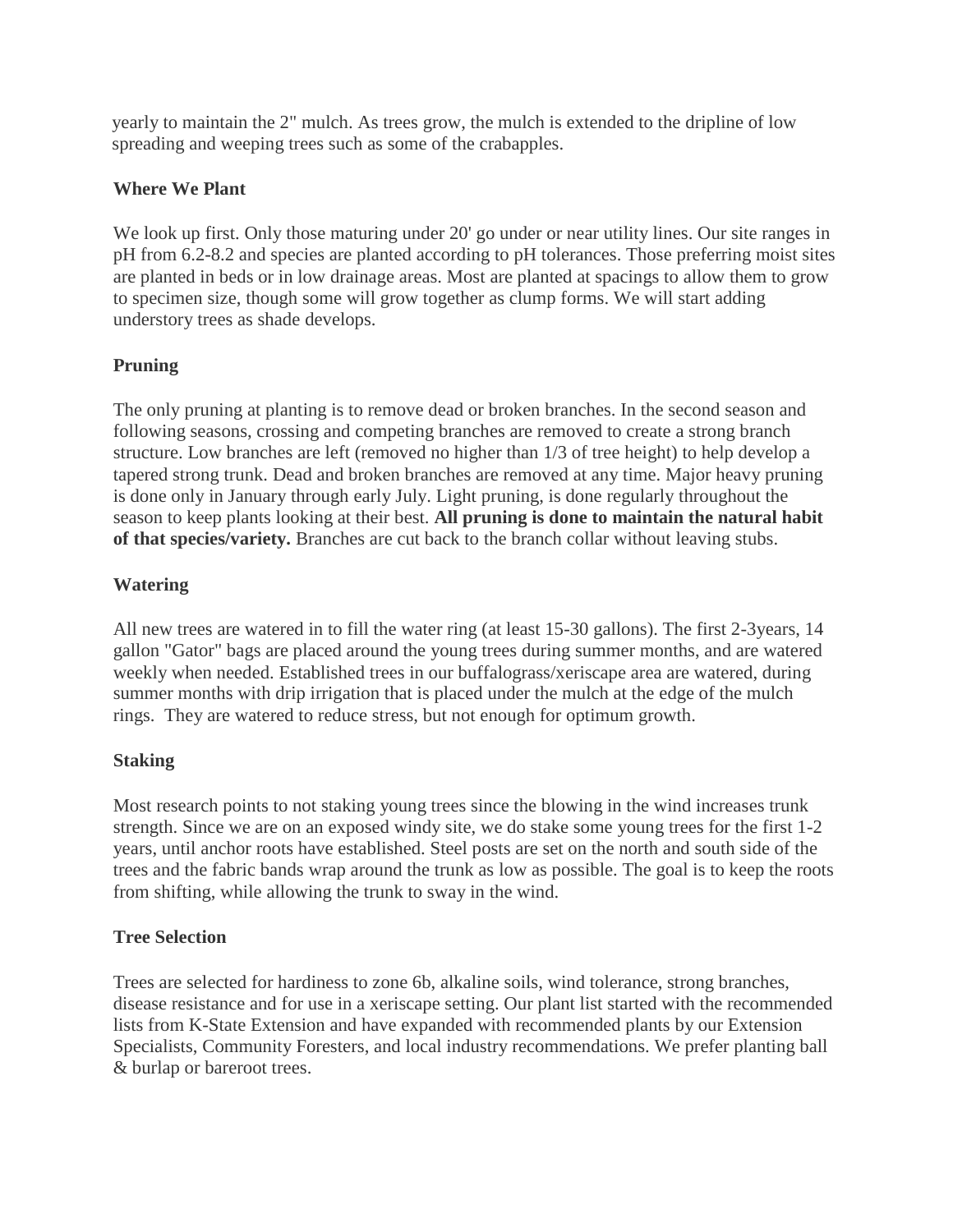yearly to maintain the 2" mulch. As trees grow, the mulch is extended to the dripline of low spreading and weeping trees such as some of the crabapples.

#### **Where We Plant**

We look up first. Only those maturing under 20' go under or near utility lines. Our site ranges in pH from 6.2-8.2 and species are planted according to pH tolerances. Those preferring moist sites are planted in beds or in low drainage areas. Most are planted at spacings to allow them to grow to specimen size, though some will grow together as clump forms. We will start adding understory trees as shade develops.

## **Pruning**

The only pruning at planting is to remove dead or broken branches. In the second season and following seasons, crossing and competing branches are removed to create a strong branch structure. Low branches are left (removed no higher than 1/3 of tree height) to help develop a tapered strong trunk. Dead and broken branches are removed at any time. Major heavy pruning is done only in January through early July. Light pruning, is done regularly throughout the season to keep plants looking at their best. **All pruning is done to maintain the natural habit of that species/variety.** Branches are cut back to the branch collar without leaving stubs.

#### **Watering**

All new trees are watered in to fill the water ring (at least 15-30 gallons). The first 2-3years, 14 gallon "Gator" bags are placed around the young trees during summer months, and are watered weekly when needed. Established trees in our buffalograss/xeriscape area are watered, during summer months with drip irrigation that is placed under the mulch at the edge of the mulch rings. They are watered to reduce stress, but not enough for optimum growth.

## **Staking**

Most research points to not staking young trees since the blowing in the wind increases trunk strength. Since we are on an exposed windy site, we do stake some young trees for the first 1-2 years, until anchor roots have established. Steel posts are set on the north and south side of the trees and the fabric bands wrap around the trunk as low as possible. The goal is to keep the roots from shifting, while allowing the trunk to sway in the wind.

## **Tree Selection**

Trees are selected for hardiness to zone 6b, alkaline soils, wind tolerance, strong branches, disease resistance and for use in a xeriscape setting. Our plant list started with the recommended lists from K-State Extension and have expanded with recommended plants by our Extension Specialists, Community Foresters, and local industry recommendations. We prefer planting ball & burlap or bareroot trees.